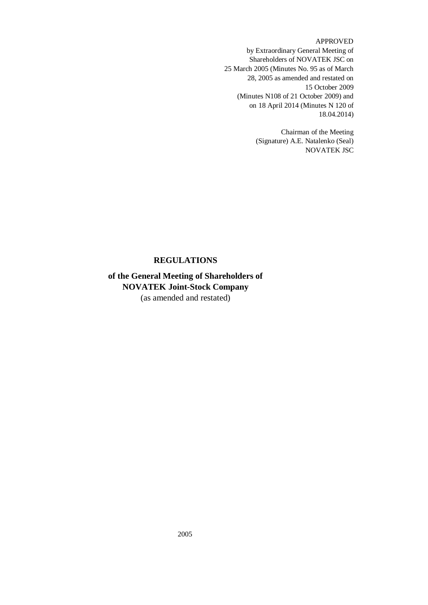# APPROVED

by Extraordinary General Meeting of Shareholders of NOVATEK JSC on 25 March 2005 (Minutes No. 95 as of March 28, 2005 as amended and restated on 15 October 2009 (Minutes N108 of 21 October 2009) and on 18 April 2014 (Minutes N 120 of 18.04.2014)

> Chairman of the Meeting (Signature) A.E. Natalenko (Seal) NOVATEK JSC

# **REGULATIONS**

# **of the General Meeting of Shareholders of NOVATEK Joint-Stock Company** (as amended and restated)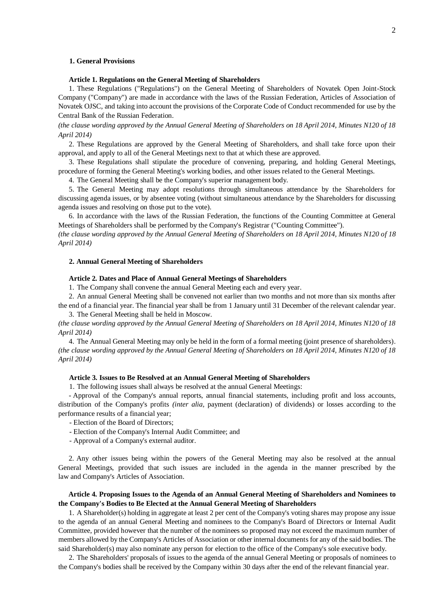# **1. General Provisions**

## **Article 1. Regulations on the General Meeting of Shareholders**

1. These Regulations ("Regulations") on the General Meeting of Shareholders of Novatek Open Joint-Stock Company ("Company") are made in accordance with the laws of the Russian Federation, Articles of Association of Novatek OJSC, and taking into account the provisions of the Corporate Code of Conduct recommended for use by the Central Bank of the Russian Federation.

*(the clause wording approved by the Annual General Meeting of Shareholders on 18 April 2014, Minutes N120 of 18 April 2014)*

2. These Regulations are approved by the General Meeting of Shareholders, and shall take force upon their approval, and apply to all of the General Meetings next to that at which these are approved.

3. These Regulations shall stipulate the procedure of convening, preparing, and holding General Meetings, procedure of forming the General Meeting's working bodies, and other issues related to the General Meetings.

4. The General Meeting shall be the Company's superior management body.

5. The General Meeting may adopt resolutions through simultaneous attendance by the Shareholders for discussing agenda issues, or by absentee voting (without simultaneous attendance by the Shareholders for discussing agenda issues and resolving on those put to the vote).

6. In accordance with the laws of the Russian Federation, the functions of the Counting Committee at General Meetings of Shareholders shall be performed by the Company's Registrar ("Counting Committee").

*(the clause wording approved by the Annual General Meeting of Shareholders on 18 April 2014, Minutes N120 of 18 April 2014)*

#### **2. Annual General Meeting of Shareholders**

# **Article 2. Dates and Place of Annual General Meetings of Shareholders**

1. The Company shall convene the annual General Meeting each and every year.

2. An annual General Meeting shall be convened not earlier than two months and not more than six months after the end of a financial year. The financial year shall be from 1 January until 31 December of the relevant calendar year. 3. The General Meeting shall be held in Moscow.

*(the clause wording approved by the Annual General Meeting of Shareholders on 18 April 2014, Minutes N120 of 18 April 2014)*

4. The Annual General Meeting may only be held in the form of a formal meeting (joint presence of shareholders). *(the clause wording approved by the Annual General Meeting of Shareholders on 18 April 2014, Minutes N120 of 18 April 2014)*

#### **Article 3. Issues to Be Resolved at an Annual General Meeting of Shareholders**

1. The following issues shall always be resolved at the annual General Meetings:

- Approval of the Company's annual reports, annual financial statements, including profit and loss accounts, distribution of the Company's profits *(inter alia,* payment (declaration) of dividends) or losses according to the performance results of a financial year;

- Election of the Board of Directors;
- Election of the Company's Internal Audit Committee; and
- Approval of a Company's external auditor.

2. Any other issues being within the powers of the General Meeting may also be resolved at the annual General Meetings, provided that such issues are included in the agenda in the manner prescribed by the law and Company's Articles of Association.

# **Article 4. Proposing Issues to the Agenda of an Annual General Meeting of Shareholders and Nominees to the Company's Bodies to Be Elected at the Annual General Meeting of Shareholders**

1. A Shareholder(s) holding in aggregate at least 2 per cent of the Company's voting shares may propose any issue to the agenda of an annual General Meeting and nominees to the Company's Board of Directors or Internal Audit Committee, provided however that the number of the nominees so proposed may not exceed the maximum number of members allowed by the Company's Articles of Association or other internal documents for any of the said bodies. The said Shareholder(s) may also nominate any person for election to the office of the Company's sole executive body.

2. The Shareholders' proposals of issues to the agenda of the annual General Meeting or proposals of nominees to the Company's bodies shall be received by the Company within 30 days after the end of the relevant financial year.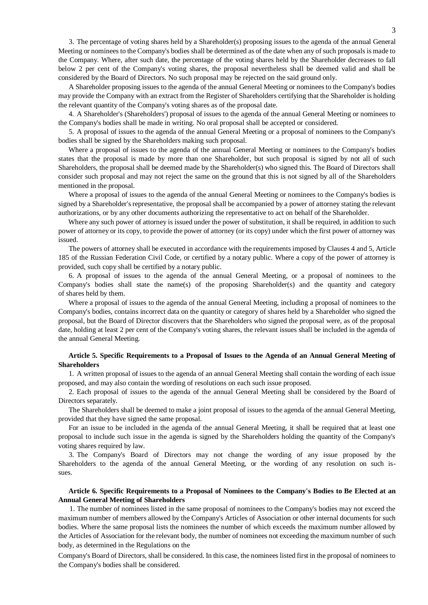3. The percentage of voting shares held by a Shareholder(s) proposing issues to the agenda of the annual General Meeting or nominees to the Company's bodies shall be determined as of the date when any of such proposals is made to the Company. Where, after such date, the percentage of the voting shares held by the Shareholder decreases to fall below 2 per cent of the Company's voting shares, the proposal nevertheless shall be deemed valid and shall be considered by the Board of Directors. No such proposal may be rejected on the said ground only.

A Shareholder proposing issues to the agenda of the annual General Meeting or nominees to the Company's bodies may provide the Company with an extract from the Register of Shareholders certifying that the Shareholder is holding the relevant quantity of the Company's voting shares as of the proposal date.

4. A Shareholder's (Shareholders') proposal of issues to the agenda of the annual General Meeting or nominees to the Company's bodies shall be made in writing. No oral proposal shall be accepted or considered.

5. A proposal of issues to the agenda of the annual General Meeting or a proposal of nominees to the Company's bodies shall be signed by the Shareholders making such proposal.

Where a proposal of issues to the agenda of the annual General Meeting or nominees to the Company's bodies states that the proposal is made by more than one Shareholder, but such proposal is signed by not all of such Shareholders, the proposal shall be deemed made by the Shareholder(s) who signed this. The Board of Directors shall consider such proposal and may not reject the same on the ground that this is not signed by all of the Shareholders mentioned in the proposal.

Where a proposal of issues to the agenda of the annual General Meeting or nominees to the Company's bodies is signed by a Shareholder's representative, the proposal shall be accompanied by a power of attorney stating the relevant authorizations, or by any other documents authorizing the representative to act on behalf of the Shareholder.

Where any such power of attorney is issued under the power of substitution, it shall be required, in addition to such power of attorney or its copy, to provide the power of attorney (or its copy) under which the first power of attorney was issued.

The powers of attorney shall be executed in accordance with the requirements imposed by Clauses 4 and 5, Article 185 of the Russian Federation Civil Code, or certified by a notary public. Where a copy of the power of attorney is provided, such copy shall be certified by a notary public.

6. A proposal of issues to the agenda of the annual General Meeting, or a proposal of nominees to the Company's bodies shall state the name(s) of the proposing Shareholder(s) and the quantity and category of shares held by them.

Where a proposal of issues to the agenda of the annual General Meeting, including a proposal of nominees to the Company's bodies, contains incorrect data on the quantity or category of shares held by a Shareholder who signed the proposal, but the Board of Director discovers that the Shareholders who signed the proposal were, as of the proposal date, holding at least 2 per cent of the Company's voting shares, the relevant issues shall be included in the agenda of the annual General Meeting.

# **Article 5. Specific Requirements to a Proposal of Issues to the Agenda of an Annual General Meeting of Shareholders**

1. A written proposal of issues to the agenda of an annual General Meeting shall contain the wording of each issue proposed, and may also contain the wording of resolutions on each such issue proposed.

2. Each proposal of issues to the agenda of the annual General Meeting shall be considered by the Board of Directors separately.

The Shareholders shall be deemed to make a joint proposal of issues to the agenda of the annual General Meeting, provided that they have signed the same proposal.

For an issue to be included in the agenda of the annual General Meeting, it shall be required that at least one proposal to include such issue in the agenda is signed by the Shareholders holding the quantity of the Company's voting shares required by law.

3. The Company's Board of Directors may not change the wording of any issue proposed by the Shareholders to the agenda of the annual General Meeting, or the wording of any resolution on such issues.

# **Article 6. Specific Requirements to a Proposal of Nominees to the Company's Bodies to Be Elected at an Annual General Meeting of Shareholders**

1. The number of nominees listed in the same proposal of nominees to the Company's bodies may not exceed the maximum number of members allowed by the Company's Articles of Association or other internal documents for such bodies. Where the same proposal lists the nominees the number of which exceeds the maximum number allowed by the Articles of Association for the relevant body, the number of nominees not exceeding the maximum number of such body, as determined in the Regulations on the

Company's Board of Directors, shall be considered. In this case, the nominees listed first in the proposal of nominees to the Company's bodies shall be considered.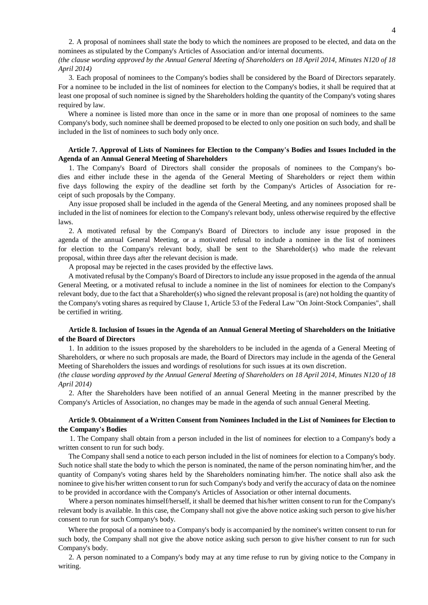2. A proposal of nominees shall state the body to which the nominees are proposed to be elected, and data on the nominees as stipulated by the Company's Articles of Association and/or internal documents.

*(the clause wording approved by the Annual General Meeting of Shareholders on 18 April 2014, Minutes N120 of 18 April 2014)*

3. Each proposal of nominees to the Company's bodies shall be considered by the Board of Directors separately. For a nominee to be included in the list of nominees for election to the Company's bodies, it shall be required that at least one proposal of such nominee is signed by the Shareholders holding the quantity of the Company's voting shares required by law.

Where a nominee is listed more than once in the same or in more than one proposal of nominees to the same Company's body, such nominee shall be deemed proposed to be elected to only one position on such body, and shall be included in the list of nominees to such body only once.

# **Article 7. Approval of Lists of Nominees for Election to the Company's Bodies and Issues Included in the Agenda of an Annual General Meeting of Shareholders**

1. The Company's Board of Directors shall consider the proposals of nominees to the Company's bodies and either include these in the agenda of the General Meeting of Shareholders or reject them within five days following the expiry of the deadline set forth by the Company's Articles of Association for receipt of such proposals by the Company.

Any issue proposed shall be included in the agenda of the General Meeting, and any nominees proposed shall be included in the list of nominees for election to the Company's relevant body, unless otherwise required by the effective laws.

2. A motivated refusal by the Company's Board of Directors to include any issue proposed in the agenda of the annual General Meeting, or a motivated refusal to include a nominee in the list of nominees for election to the Company's relevant body, shall be sent to the Shareholder(s) who made the relevant proposal, within three days after the relevant decision is made.

A proposal may be rejected in the cases provided by the effective laws.

A motivated refusal by the Company's Board of Directors to include any issue proposed in the agenda of the annual General Meeting, or a motivated refusal to include a nominee in the list of nominees for election to the Company's relevant body, due to the fact that a Shareholder(s) who signed the relevant proposal is (are) not holding the quantity of the Company's voting shares as required by Clause 1, Article 53 of the Federal Law "On Joint-Stock Companies", shall be certified in writing.

# **Article 8. Inclusion of Issues in the Agenda of an Annual General Meeting of Shareholders on the Initiative of the Board of Directors**

1. In addition to the issues proposed by the shareholders to be included in the agenda of a General Meeting of Shareholders, or where no such proposals are made, the Board of Directors may include in the agenda of the General Meeting of Shareholders the issues and wordings of resolutions for such issues at its own discretion.

*(the clause wording approved by the Annual General Meeting of Shareholders on 18 April 2014, Minutes N120 of 18 April 2014)*

2. After the Shareholders have been notified of an annual General Meeting in the manner prescribed by the Company's Articles of Association, no changes may be made in the agenda of such annual General Meeting.

# **Article 9. Obtainment of a Written Consent from Nominees Included in the List of Nominees for Election to the Company's Bodies**

1. The Company shall obtain from a person included in the list of nominees for election to a Company's body a written consent to run for such body.

The Company shall send a notice to each person included in the list of nominees for election to a Company's body. Such notice shall state the body to which the person is nominated, the name of the person nominating him/her, and the quantity of Company's voting shares held by the Shareholders nominating him/her. The notice shall also ask the nominee to give his/her written consent to run for such Company's body and verify the accuracy of data on the nominee to be provided in accordance with the Company's Articles of Association or other internal documents.

Where a person nominates himself/herself, it shall be deemed that his/her written consent to run for the Company's relevant body is available. In this case, the Company shall not give the above notice asking such person to give his/her consent to run for such Company's body.

Where the proposal of a nominee to a Company's body is accompanied by the nominee's written consent to run for such body, the Company shall not give the above notice asking such person to give his/her consent to run for such Company's body.

2. A person nominated to a Company's body may at any time refuse to run by giving notice to the Company in writing.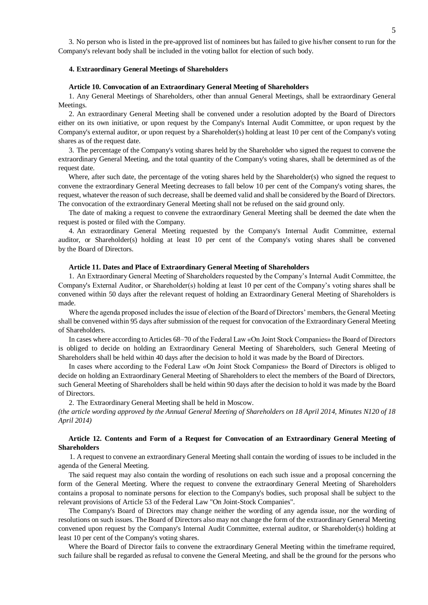3. No person who is listed in the pre-approved list of nominees but has failed to give his/her consent to run for the Company's relevant body shall be included in the voting ballot for election of such body.

## **4. Extraordinary General Meetings of Shareholders**

## **Article 10. Convocation of an Extraordinary General Meeting of Shareholders**

1. Any General Meetings of Shareholders, other than annual General Meetings, shall be extraordinary General Meetings.

2. An extraordinary General Meeting shall be convened under a resolution adopted by the Board of Directors either on its own initiative, or upon request by the Company's Internal Audit Committee, or upon request by the Company's external auditor, or upon request by a Shareholder(s) holding at least 10 per cent of the Company's voting shares as of the request date.

3. The percentage of the Company's voting shares held by the Shareholder who signed the request to convene the extraordinary General Meeting, and the total quantity of the Company's voting shares, shall be determined as of the request date.

Where, after such date, the percentage of the voting shares held by the Shareholder(s) who signed the request to convene the extraordinary General Meeting decreases to fall below 10 per cent of the Company's voting shares, the request, whatever the reason of such decrease, shall be deemed valid and shall be considered by the Board of Directors. The convocation of the extraordinary General Meeting shall not be refused on the said ground only.

The date of making a request to convene the extraordinary General Meeting shall be deemed the date when the request is posted or filed with the Company.

4. An extraordinary General Meeting requested by the Company's Internal Audit Committee, external auditor, or Shareholder(s) holding at least 10 per cent of the Company's voting shares shall be convened by the Board of Directors.

# **Article 11. Dates and Place of Extraordinary General Meeting of Shareholders**

1. An Extraordinary General Meeting of Shareholders requested by the Company's Internal Audit Committee, the Company's External Auditor, or Shareholder(s) holding at least 10 per cent of the Company's voting shares shall be convened within 50 days after the relevant request of holding an Extraordinary General Meeting of Shareholders is made.

Where the agenda proposed includes the issue of election of the Board of Directors' members, the General Meeting shall be convened within 95 days after submission of the request for convocation of the Extraordinary General Meeting of Shareholders.

In cases where according to Articles 68–70 of the Federal Law «On Joint Stock Companies» the Board of Directors is obliged to decide on holding an Extraordinary General Meeting of Shareholders, such General Meeting of Shareholders shall be held within 40 days after the decision to hold it was made by the Board of Directors.

In cases where according to the Federal Law «On Joint Stock Companies» the Board of Directors is obliged to decide on holding an Extraordinary General Meeting of Shareholders to elect the members of the Board of Directors, such General Meeting of Shareholders shall be held within 90 days after the decision to hold it was made by the Board of Directors.

2. The Extraordinary General Meeting shall be held in Moscow.

*(the article wording approved by the Annual General Meeting of Shareholders on 18 April 2014, Minutes N120 of 18 April 2014)*

# **Article 12. Contents and Form of a Request for Convocation of an Extraordinary General Meeting of Shareholders**

1. A request to convene an extraordinary General Meeting shall contain the wording of issues to be included in the agenda of the General Meeting.

The said request may also contain the wording of resolutions on each such issue and a proposal concerning the form of the General Meeting. Where the request to convene the extraordinary General Meeting of Shareholders contains a proposal to nominate persons for election to the Company's bodies, such proposal shall be subject to the relevant provisions of Article 53 of the Federal Law "On Joint-Stock Companies".

The Company's Board of Directors may change neither the wording of any agenda issue, nor the wording of resolutions on such issues. The Board of Directors also may not change the form of the extraordinary General Meeting convened upon request by the Company's Internal Audit Committee, external auditor, or Shareholder(s) holding at least 10 per cent of the Company's voting shares.

Where the Board of Director fails to convene the extraordinary General Meeting within the timeframe required, such failure shall be regarded as refusal to convene the General Meeting, and shall be the ground for the persons who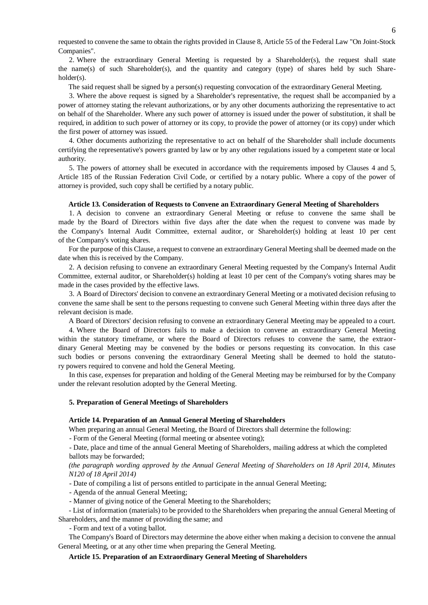requested to convene the same to obtain the rights provided in Clause 8, Article 55 of the Federal Law "On Joint-Stock Companies".

2. Where the extraordinary General Meeting is requested by a Shareholder(s), the request shall state the name(s) of such Shareholder(s), and the quantity and category (type) of shares held by such Shareholder(s).

The said request shall be signed by a person(s) requesting convocation of the extraordinary General Meeting.

3. Where the above request is signed by a Shareholder's representative, the request shall be accompanied by a power of attorney stating the relevant authorizations, or by any other documents authorizing the representative to act on behalf of the Shareholder. Where any such power of attorney is issued under the power of substitution, it shall be required, in addition to such power of attorney or its copy, to provide the power of attorney (or its copy) under which the first power of attorney was issued.

4. Other documents authorizing the representative to act on behalf of the Shareholder shall include documents certifying the representative's powers granted by law or by any other regulations issued by a competent state or local authority.

5. The powers of attorney shall be executed in accordance with the requirements imposed by Clauses 4 and 5, Article 185 of the Russian Federation Civil Code, or certified by a notary public. Where a copy of the power of attorney is provided, such copy shall be certified by a notary public.

### **Article 13. Consideration of Requests to Convene an Extraordinary General Meeting of Shareholders**

1. A decision to convene an extraordinary General Meeting or refuse to convene the same shall be made by the Board of Directors within five days after the date when the request to convene was made by the Company's Internal Audit Committee, external auditor, or Shareholder(s) holding at least 10 per cent of the Company's voting shares.

For the purpose of this Clause, a request to convene an extraordinary General Meeting shall be deemed made on the date when this is received by the Company.

2. A decision refusing to convene an extraordinary General Meeting requested by the Company's Internal Audit Committee, external auditor, or Shareholder(s) holding at least 10 per cent of the Company's voting shares may be made in the cases provided by the effective laws.

3. A Board of Directors' decision to convene an extraordinary General Meeting or a motivated decision refusing to convene the same shall be sent to the persons requesting to convene such General Meeting within three days after the relevant decision is made.

A Board of Directors' decision refusing to convene an extraordinary General Meeting may be appealed to a court.

4. Where the Board of Directors fails to make a decision to convene an extraordinary General Meeting within the statutory timeframe, or where the Board of Directors refuses to convene the same, the extraordinary General Meeting may be convened by the bodies or persons requesting its convocation. In this case such bodies or persons convening the extraordinary General Meeting shall be deemed to hold the statutory powers required to convene and hold the General Meeting.

In this case, expenses for preparation and holding of the General Meeting may be reimbursed for by the Company under the relevant resolution adopted by the General Meeting.

#### **5. Preparation of General Meetings of Shareholders**

## **Article 14. Preparation of an Annual General Meeting of Shareholders**

When preparing an annual General Meeting, the Board of Directors shall determine the following:

- Form of the General Meeting (formal meeting or absentee voting);

- Date, place and time of the annual General Meeting of Shareholders, mailing address at which the completed ballots may be forwarded;

*(the paragraph wording approved by the Annual General Meeting of Shareholders on 18 April 2014, Minutes N120 of 18 April 2014)*

- Date of compiling a list of persons entitled to participate in the annual General Meeting;

- Agenda of the annual General Meeting;

- Manner of giving notice of the General Meeting to the Shareholders;

- List of information (materials) to be provided to the Shareholders when preparing the annual General Meeting of Shareholders, and the manner of providing the same; and

- Form and text of a voting ballot.

The Company's Board of Directors may determine the above either when making a decision to convene the annual General Meeting, or at any other time when preparing the General Meeting.

### **Article 15. Preparation of an Extraordinary General Meeting of Shareholders**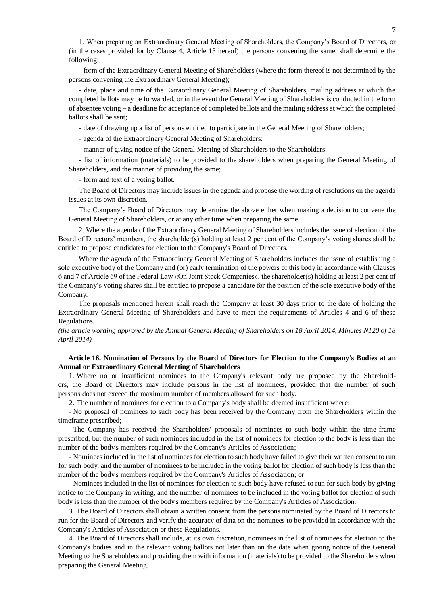1. When preparing an Extraordinary General Meeting of Shareholders, the Company's Board of Directors, or (in the cases provided for by Clause 4, Article 13 hereof) the persons convening the same, shall determine the following:

- form of the Extraordinary General Meeting of Shareholders (where the form thereof is not determined by the persons convening the Extraordinary General Meeting);

- date, place and time of the Extraordinary General Meeting of Shareholders, mailing address at which the completed ballots may be forwarded, or in the event the General Meeting of Shareholders is conducted in the form of absentee voting – a deadline for acceptance of completed ballots and the mailing address at which the completed ballots shall be sent;

- date of drawing up a list of persons entitled to participate in the General Meeting of Shareholders;

- agenda of the Extraordinary General Meeting of Shareholders:

- manner of giving notice of the General Meeting of Shareholders to the Shareholders:

- list of information (materials) to be provided to the shareholders when preparing the General Meeting of Shareholders, and the manner of providing the same;

- form and text of a voting ballot.

The Board of Directors may include issues in the agenda and propose the wording of resolutions on the agenda issues at its own discretion.

The Company's Board of Directors may determine the above either when making a decision to convene the General Meeting of Shareholders, or at any other time when preparing the same.

2. Where the agenda of the Extraordinary General Meeting of Shareholders includes the issue of election of the Board of Directors' members, the shareholder(s) holding at least 2 per cent of the Company's voting shares shall be entitled to propose candidates for election to the Company's Board of Directors.

Where the agenda of the Extraordinary General Meeting of Shareholders includes the issue of establishing a sole executive body of the Company and (or) early termination of the powers of this body in accordance with Clauses 6 and 7 of Article 69 of the Federal Law «On Joint Stock Companies», the shareholder(s) holding at least 2 per cent of the Company's voting shares shall be entitled to propose a candidate for the position of the sole executive body of the Company.

The proposals mentioned herein shall reach the Company at least 30 days prior to the date of holding the Extraordinary General Meeting of Shareholders and have to meet the requirements of Articles 4 and 6 of these Regulations.

*(the article wording approved by the Annual General Meeting of Shareholders on 18 April 2014, Minutes N120 of 18 April 2014)*

# **Article 16. Nomination of Persons by the Board of Directors for Election to the Company's Bodies at an Annual or Extraordinary General Meeting of Shareholders**

1. Where no or insufficient nominees to the Company's relevant body are proposed by the Shareholders, the Board of Directors may include persons in the list of nominees, provided that the number of such persons does not exceed the maximum number of members allowed for such body.

2. The number of nominees for election to a Company's body shall be deemed insufficient where:

- No proposal of nominees to such body has been received by the Company from the Shareholders within the timeframe prescribed;

- The Company has received the Shareholders' proposals of nominees to such body within the time-frame prescribed, but the number of such nominees included in the list of nominees for election to the body is less than the number of the body's members required by the Company's Articles of Association;

- Nominees included in the list of nominees for election to such body have failed to give their written consent to run for such body, and the number of nominees to be included in the voting ballot for election of such body is less than the number of the body's members required by the Company's Articles of Association; or

- Nominees included in the list of nominees for election to such body have refused to run for such body by giving notice to the Company in writing, and the number of nominees to be included in the voting ballot for election of such body is less than the number of the body's members required by the Company's Articles of Association.

3. The Board of Directors shall obtain a written consent from the persons nominated by the Board of Directors to run for the Board of Directors and verify the accuracy of data on the nominees to be provided in accordance with the Company's Articles of Association or these Regulations.

4. The Board of Directors shall include, at its own discretion, nominees in the list of nominees for election to the Company's bodies and in the relevant voting ballots not later than on the date when giving notice of the General Meeting to the Shareholders and providing them with information (materials) to be provided to the Shareholders when preparing the General Meeting.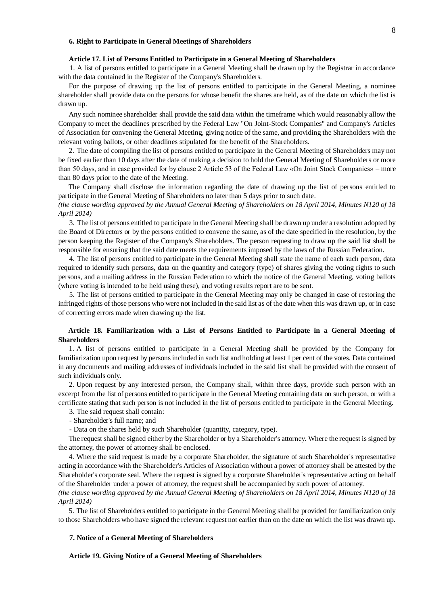#### **6. Right to Participate in General Meetings of Shareholders**

# **Article 17. List of Persons Entitled to Participate in a General Meeting of Shareholders**

1. A list of persons entitled to participate in a General Meeting shall be drawn up by the Registrar in accordance with the data contained in the Register of the Company's Shareholders.

For the purpose of drawing up the list of persons entitled to participate in the General Meeting, a nominee shareholder shall provide data on the persons for whose benefit the shares are held, as of the date on which the list is drawn up.

Any such nominee shareholder shall provide the said data within the timeframe which would reasonably allow the Company to meet the deadlines prescribed by the Federal Law "On Joint-Stock Companies" and Company's Articles of Association for convening the General Meeting, giving notice of the same, and providing the Shareholders with the relevant voting ballots, or other deadlines stipulated for the benefit of the Shareholders.

2. The date of compiling the list of persons entitled to participate in the General Meeting of Shareholders may not be fixed earlier than 10 days after the date of making a decision to hold the General Meeting of Shareholders or more than 50 days, and in case provided for by clause 2 Article 53 of the Federal Law «On Joint Stock Companies» – more than 80 days prior to the date of the Meeting.

The Company shall disclose the information regarding the date of drawing up the list of persons entitled to participate in the General Meeting of Shareholders no later than 5 days prior to such date.

*(the clause wording approved by the Annual General Meeting of Shareholders on 18 April 2014, Minutes N120 of 18 April 2014)*

3. The list of persons entitled to participate in the General Meeting shall be drawn up under a resolution adopted by the Board of Directors or by the persons entitled to convene the same, as of the date specified in the resolution, by the person keeping the Register of the Company's Shareholders. The person requesting to draw up the said list shall be responsible for ensuring that the said date meets the requirements imposed by the laws of the Russian Federation.

4. The list of persons entitled to participate in the General Meeting shall state the name of each such person, data required to identify such persons, data on the quantity and category (type) of shares giving the voting rights to such persons, and a mailing address in the Russian Federation to which the notice of the General Meeting, voting ballots (where voting is intended to be held using these), and voting results report are to be sent.

5. The list of persons entitled to participate in the General Meeting may only be changed in case of restoring the infringed rights of those persons who were not included in the said list as of the date when this was drawn up, or in case of correcting errors made when drawing up the list.

# **Article 18. Familiarization with a List of Persons Entitled to Participate in a General Meeting of Shareholders**

1. A list of persons entitled to participate in a General Meeting shall be provided by the Company for familiarization upon request by persons included in such list and holding at least 1 per cent of the votes. Data contained in any documents and mailing addresses of individuals included in the said list shall be provided with the consent of such individuals only.

2. Upon request by any interested person, the Company shall, within three days, provide such person with an excerpt from the list of persons entitled to participate in the General Meeting containing data on such person, or with a certificate stating that such person is not included in the list of persons entitled to participate in the General Meeting.

- 3. The said request shall contain:
- Shareholder's full name; and
- Data on the shares held by such Shareholder (quantity, category, type).

The request shall be signed either by the Shareholder or by a Shareholder's attorney. Where the request is signed by the attorney, the power of attorney shall be enclosed.

4. Where the said request is made by a corporate Shareholder, the signature of such Shareholder's representative acting in accordance with the Shareholder's Articles of Association without a power of attorney shall be attested by the Shareholder's corporate seal. Where the request is signed by a corporate Shareholder's representative acting on behalf of the Shareholder under a power of attorney, the request shall be accompanied by such power of attorney.

*(the clause wording approved by the Annual General Meeting of Shareholders on 18 April 2014, Minutes N120 of 18 April 2014)*

5. The list of Shareholders entitled to participate in the General Meeting shall be provided for familiarization only to those Shareholders who have signed the relevant request not earlier than on the date on which the list was drawn up.

# **7. Notice of a General Meeting of Shareholders**

**Article 19. Giving Notice of a General Meeting of Shareholders**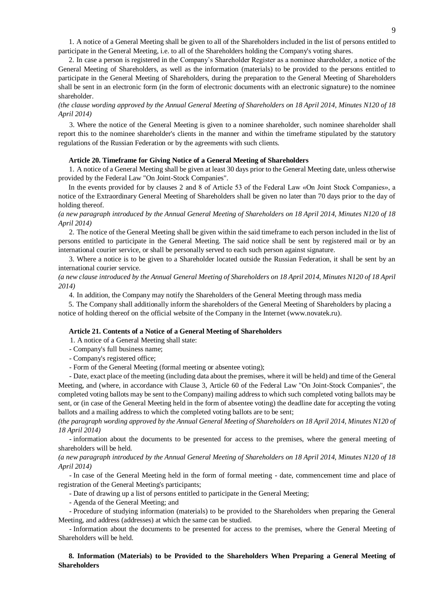1. A notice of a General Meeting shall be given to all of the Shareholders included in the list of persons entitled to participate in the General Meeting, i.e. to all of the Shareholders holding the Company's voting shares.

2. In case a person is registered in the Company's Shareholder Register as a nominee shareholder, a notice of the General Meeting of Shareholders, as well as the information (materials) to be provided to the persons entitled to participate in the General Meeting of Shareholders, during the preparation to the General Meeting of Shareholders shall be sent in an electronic form (in the form of electronic documents with an electronic signature) to the nominee shareholder.

*(the clause wording approved by the Annual General Meeting of Shareholders on 18 April 2014, Minutes N120 of 18 April 2014)*

3. Where the notice of the General Meeting is given to a nominee shareholder, such nominee shareholder shall report this to the nominee shareholder's clients in the manner and within the timeframe stipulated by the statutory regulations of the Russian Federation or by the agreements with such clients.

#### **Article 20. Timeframe for Giving Notice of a General Meeting of Shareholders**

1. A notice of a General Meeting shall be given at least 30 days prior to the General Meeting date, unless otherwise provided by the Federal Law "On Joint-Stock Companies".

In the events provided for by clauses 2 and 8 of Article 53 of the Federal Law «On Joint Stock Companies», a notice of the Extraordinary General Meeting of Shareholders shall be given no later than 70 days prior to the day of holding thereof.

*(a new paragraph introduced by the Annual General Meeting of Shareholders on 18 April 2014, Minutes N120 of 18 April 2014)*

2. The notice of the General Meeting shall be given within the said timeframe to each person included in the list of persons entitled to participate in the General Meeting. The said notice shall be sent by registered mail or by an international courier service, or shall be personally served to each such person against signature.

3. Where a notice is to be given to a Shareholder located outside the Russian Federation, it shall be sent by an international courier service.

*(a new clause introduced by the Annual General Meeting of Shareholders on 18 April 2014, Minutes N120 of 18 April 2014)*

4. In addition, the Company may notify the Shareholders of the General Meeting through mass media

5. The Company shall additionally inform the shareholders of the General Meeting of Shareholders by placing a notice of holding thereof on the official website of the Company in the Internet (www.novatek.ru).

#### **Article 21. Contents of a Notice of a General Meeting of Shareholders**

1. A notice of a General Meeting shall state:

- Company's full business name;

- Company's registered office;

- Form of the General Meeting (formal meeting or absentee voting);

- Date, exact place of the meeting (including data about the premises, where it will be held) and time of the General Meeting, and (where, in accordance with Clause 3, Article 60 of the Federal Law "On Joint-Stock Companies", the completed voting ballots may be sent to the Company) mailing address to which such completed voting ballots may be sent, or (in case of the General Meeting held in the form of absentee voting) the deadline date for accepting the voting ballots and a mailing address to which the completed voting ballots are to be sent;

*(the paragraph wording approved by the Annual General Meeting of Shareholders on 18 April 2014, Minutes N120 of 18 April 2014)*

- information about the documents to be presented for access to the premises, where the general meeting of shareholders will be held.

*(a new paragraph introduced by the Annual General Meeting of Shareholders on 18 April 2014, Minutes N120 of 18 April 2014)*

- In case of the General Meeting held in the form of formal meeting - date, commencement time and place of registration of the General Meeting's participants;

- Date of drawing up a list of persons entitled to participate in the General Meeting;

- Agenda of the General Meeting; and

- Procedure of studying information (materials) to be provided to the Shareholders when preparing the General Meeting, and address (addresses) at which the same can be studied.

- Information about the documents to be presented for access to the premises, where the General Meeting of Shareholders will be held.

**8. Information (Materials) to be Provided to the Shareholders When Preparing a General Meeting of Shareholders**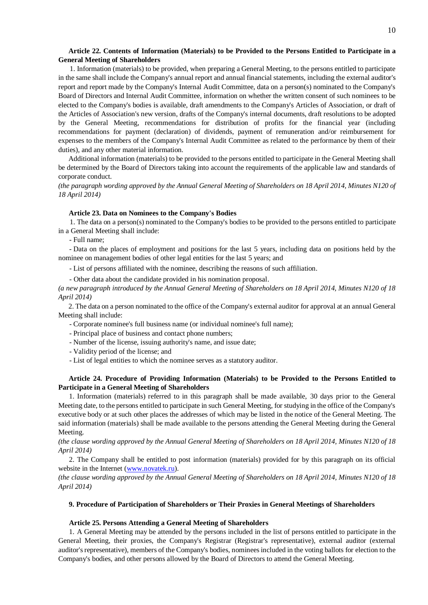# **Article 22. Contents of Information (Materials) to be Provided to the Persons Entitled to Participate in a General Meeting of Shareholders**

1. Information (materials) to be provided, when preparing a General Meeting, to the persons entitled to participate in the same shall include the Company's annual report and annual financial statements, including the external auditor's report and report made by the Company's Internal Audit Committee, data on a person(s) nominated to the Company's Board of Directors and Internal Audit Committee, information on whether the written consent of such nominees to be elected to the Company's bodies is available, draft amendments to the Company's Articles of Association, or draft of the Articles of Association's new version, drafts of the Company's internal documents, draft resolutions to be adopted by the General Meeting, recommendations for distribution of profits for the financial year (including recommendations for payment (declaration) of dividends, payment of remuneration and/or reimbursement for expenses to the members of the Company's Internal Audit Committee as related to the performance by them of their duties), and any other material information.

Additional information (materials) to be provided to the persons entitled to participate in the General Meeting shall be determined by the Board of Directors taking into account the requirements of the applicable law and standards of corporate conduct.

*(the paragraph wording approved by the Annual General Meeting of Shareholders on 18 April 2014, Minutes N120 of 18 April 2014)*

#### **Article 23. Data on Nominees to the Company's Bodies**

1. The data on a person(s) nominated to the Company's bodies to be provided to the persons entitled to participate in a General Meeting shall include:

- Full name;

- Data on the places of employment and positions for the last 5 years, including data on positions held by the nominee on management bodies of other legal entities for the last 5 years; and

- List of persons affiliated with the nominee, describing the reasons of such affiliation.

- Other data about the candidate provided in his nomination proposal.

*(a new paragraph introduced by the Annual General Meeting of Shareholders on 18 April 2014, Minutes N120 of 18 April 2014)*

2. The data on a person nominated to the office of the Company's external auditor for approval at an annual General Meeting shall include:

- Corporate nominee's full business name (or individual nominee's full name);

- Principal place of business and contact phone numbers;
- Number of the license, issuing authority's name, and issue date;

- Validity period of the license; and

- List of legal entities to which the nominee serves as a statutory auditor.

# **Article 24. Procedure of Providing Information (Materials) to be Provided to the Persons Entitled to Participate in a General Meeting of Shareholders**

1. Information (materials) referred to in this paragraph shall be made available, 30 days prior to the General Meeting date, to the persons entitled to participate in such General Meeting, for studying in the office of the Company's executive body or at such other places the addresses of which may be listed in the notice of the General Meeting. The said information (materials) shall be made available to the persons attending the General Meeting during the General Meeting.

*(the clause wording approved by the Annual General Meeting of Shareholders on 18 April 2014, Minutes N120 of 18 April 2014)*

2. The Company shall be entitled to post information (materials) provided for by this paragraph on its official website in the Internet [\(www.novatek.ru\)](http://www.novatek.ru/).

*(the clause wording approved by the Annual General Meeting of Shareholders on 18 April 2014, Minutes N120 of 18 April 2014)*

### **9. Procedure of Participation of Shareholders or Their Proxies in General Meetings of Shareholders**

### **Article 25. Persons Attending a General Meeting of Shareholders**

1. A General Meeting may be attended by the persons included in the list of persons entitled to participate in the General Meeting, their proxies, the Company's Registrar (Registrar's representative), external auditor (external auditor's representative), members of the Company's bodies, nominees included in the voting ballots for election to the Company's bodies, and other persons allowed by the Board of Directors to attend the General Meeting.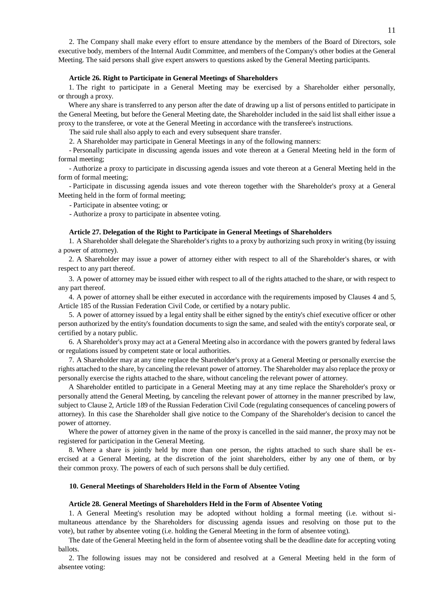2. The Company shall make every effort to ensure attendance by the members of the Board of Directors, sole executive body, members of the Internal Audit Committee, and members of the Company's other bodies at the General Meeting. The said persons shall give expert answers to questions asked by the General Meeting participants.

### **Article 26. Right to Participate in General Meetings of Shareholders**

1. The right to participate in a General Meeting may be exercised by a Shareholder either personally, or through a proxy.

Where any share is transferred to any person after the date of drawing up a list of persons entitled to participate in the General Meeting, but before the General Meeting date, the Shareholder included in the said list shall either issue a proxy to the transferee, or vote at the General Meeting in accordance with the transferee's instructions.

The said rule shall also apply to each and every subsequent share transfer.

2. A Shareholder may participate in General Meetings in any of the following manners:

- Personally participate in discussing agenda issues and vote thereon at a General Meeting held in the form of formal meeting;

- Authorize a proxy to participate in discussing agenda issues and vote thereon at a General Meeting held in the form of formal meeting;

- Participate in discussing agenda issues and vote thereon together with the Shareholder's proxy at a General Meeting held in the form of formal meeting;

- Participate in absentee voting; or

- Authorize a proxy to participate in absentee voting.

### **Article 27. Delegation of the Right to Participate in General Meetings of Shareholders**

1. A Shareholder shall delegate the Shareholder's rights to a proxy by authorizing such proxy in writing (by issuing a power of attorney).

2. A Shareholder may issue a power of attorney either with respect to all of the Shareholder's shares, or with respect to any part thereof.

3. A power of attorney may be issued either with respect to all of the rights attached to the share, or with respect to any part thereof.

4. A power of attorney shall be either executed in accordance with the requirements imposed by Clauses 4 and 5, Article 185 of the Russian Federation Civil Code, or certified by a notary public.

5. A power of attorney issued by a legal entity shall be either signed by the entity's chief executive officer or other person authorized by the entity's foundation documents to sign the same, and sealed with the entity's corporate seal, or certified by a notary public.

6. A Shareholder's proxy may act at a General Meeting also in accordance with the powers granted by federal laws or regulations issued by competent state or local authorities.

7. A Shareholder may at any time replace the Shareholder's proxy at a General Meeting or personally exercise the rights attached to the share, by canceling the relevant power of attorney. The Shareholder may also replace the proxy or personally exercise the rights attached to the share, without canceling the relevant power of attorney.

A Shareholder entitled to participate in a General Meeting may at any time replace the Shareholder's proxy or personally attend the General Meeting, by canceling the relevant power of attorney in the manner prescribed by law, subject to Clause 2, Article 189 of the Russian Federation Civil Code (regulating consequences of canceling powers of attorney). In this case the Shareholder shall give notice to the Company of the Shareholder's decision to cancel the power of attorney.

Where the power of attorney given in the name of the proxy is cancelled in the said manner, the proxy may not be registered for participation in the General Meeting.

8. Where a share is jointly held by more than one person, the rights attached to such share shall be exercised at a General Meeting, at the discretion of the joint shareholders, either by any one of them, or by their common proxy. The powers of each of such persons shall be duly certified.

### **10. General Meetings of Shareholders Held in the Form of Absentee Voting**

### **Article 28. General Meetings of Shareholders Held in the Form of Absentee Voting**

1. A General Meeting's resolution may be adopted without holding a formal meeting (i.e. without simultaneous attendance by the Shareholders for discussing agenda issues and resolving on those put to the vote), but rather by absentee voting (i.e. holding the General Meeting in the form of absentee voting).

The date of the General Meeting held in the form of absentee voting shall be the deadline date for accepting voting ballots.

2. The following issues may not be considered and resolved at a General Meeting held in the form of absentee voting: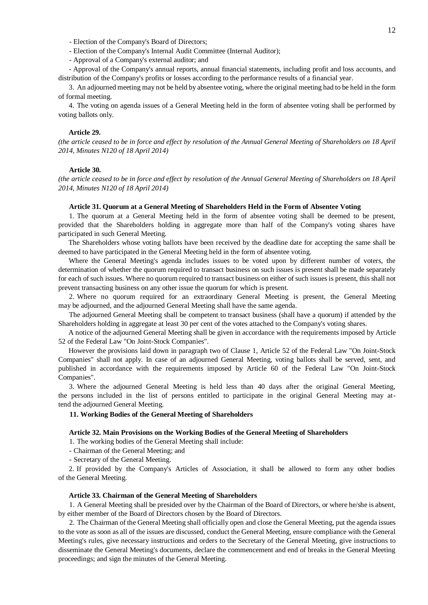- Election of the Company's Board of Directors;

- Election of the Company's Internal Audit Committee (Internal Auditor);

- Approval of a Company's external auditor; and

- Approval of the Company's annual reports, annual financial statements, including profit and loss accounts, and distribution of the Company's profits or losses according to the performance results of a financial year.

3. An adjourned meeting may not be held by absentee voting, where the original meeting had to be held in the form of formal meeting.

4. The voting on agenda issues of a General Meeting held in the form of absentee voting shall be performed by voting ballots only.

### **Article 29.**

*(the article ceased to be in force and effect by resolution of the Annual General Meeting of Shareholders on 18 April 2014, Minutes N120 of 18 April 2014)*

# **Article 30.**

*(the article ceased to be in force and effect by resolution of the Annual General Meeting of Shareholders on 18 April 2014, Minutes N120 of 18 April 2014)*

#### **Article 31. Quorum at a General Meeting of Shareholders Held in the Form of Absentee Voting**

1. The quorum at a General Meeting held in the form of absentee voting shall be deemed to be present, provided that the Shareholders holding in aggregate more than half of the Company's voting shares have participated in such General Meeting.

The Shareholders whose voting ballots have been received by the deadline date for accepting the same shall be deemed to have participated in the General Meeting held in the form of absentee voting.

Where the General Meeting's agenda includes issues to be voted upon by different number of voters, the determination of whether the quorum required to transact business on such issues is present shall be made separately for each of such issues. Where no quorum required to transact business on either of such issues is present, this shall not prevent transacting business on any other issue the quorum for which is present.

2. Where no quorum required for an extraordinary General Meeting is present, the General Meeting may be adjourned, and the adjourned General Meeting shall have the same agenda.

The adjourned General Meeting shall be competent to transact business (shall have a quorum) if attended by the Shareholders holding in aggregate at least 30 per cent of the votes attached to the Company's voting shares.

A notice of the adjourned General Meeting shall be given in accordance with the requirements imposed by Article 52 of the Federal Law "On Joint-Stock Companies".

However the provisions laid down in paragraph two of Clause 1, Article 52 of the Federal Law "On Joint-Stock Companies" shall not apply. In case of an adjourned General Meeting, voting ballots shall be served, sent, and published in accordance with the requirements imposed by Article 60 of the Federal Law "On Joint-Stock Companies".

3. Where the adjourned General Meeting is held less than 40 days after the original General Meeting, the persons included in the list of persons entitled to participate in the original General Meeting may attend the adjourned General Meeting.

### **11. Working Bodies of the General Meeting of Shareholders**

### **Article 32. Main Provisions on the Working Bodies of the General Meeting of Shareholders**

1. The working bodies of the General Meeting shall include:

- Chairman of the General Meeting; and

- Secretary of the General Meeting.

2. If provided by the Company's Articles of Association, it shall be allowed to form any other bodies of the General Meeting.

#### **Article 33. Chairman of the General Meeting of Shareholders**

1. A General Meeting shall be presided over by the Chairman of the Board of Directors, or where he/she is absent, by either member of the Board of Directors chosen by the Board of Directors.

2. The Chairman of the General Meeting shall officially open and close the General Meeting, put the agenda issues to the vote as soon as all of the issues are discussed, conduct the General Meeting, ensure compliance with the General Meeting's rules, give necessary instructions and orders to the Secretary of the General Meeting, give instructions to disseminate the General Meeting's documents, declare the commencement and end of breaks in the General Meeting proceedings; and sign the minutes of the General Meeting.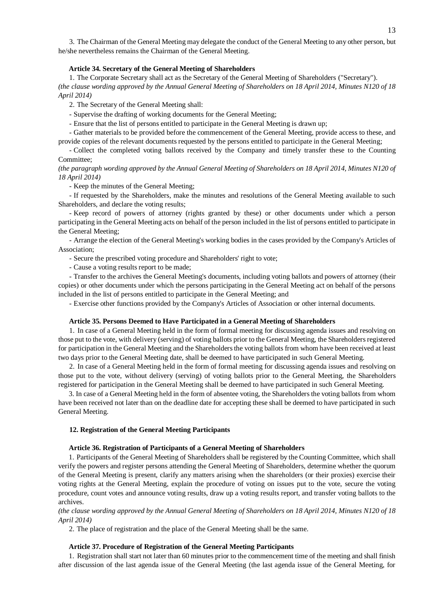3. The Chairman of the General Meeting may delegate the conduct of the General Meeting to any other person, but he/she nevertheless remains the Chairman of the General Meeting.

# **Article 34. Secretary of the General Meeting of Shareholders**

1. The Corporate Secretary shall act as the Secretary of the General Meeting of Shareholders ("Secretary"). *(the clause wording approved by the Annual General Meeting of Shareholders on 18 April 2014, Minutes N120 of 18 April 2014)*

2. The Secretary of the General Meeting shall:

- Supervise the drafting of working documents for the General Meeting;

- Ensure that the list of persons entitled to participate in the General Meeting is drawn up;

- Gather materials to be provided before the commencement of the General Meeting, provide access to these, and provide copies of the relevant documents requested by the persons entitled to participate in the General Meeting;

- Collect the completed voting ballots received by the Company and timely transfer these to the Counting Committee;

*(the paragraph wording approved by the Annual General Meeting of Shareholders on 18 April 2014, Minutes N120 of 18 April 2014)*

- Keep the minutes of the General Meeting;

- If requested by the Shareholders, make the minutes and resolutions of the General Meeting available to such Shareholders, and declare the voting results;

- Keep record of powers of attorney (rights granted by these) or other documents under which a person participating in the General Meeting acts on behalf of the person included in the list of persons entitled to participate in the General Meeting;

- Arrange the election of the General Meeting's working bodies in the cases provided by the Company's Articles of Association;

- Secure the prescribed voting procedure and Shareholders' right to vote;

- Cause a voting results report to be made;

- Transfer to the archives the General Meeting's documents, including voting ballots and powers of attorney (their copies) or other documents under which the persons participating in the General Meeting act on behalf of the persons included in the list of persons entitled to participate in the General Meeting; and

- Exercise other functions provided by the Company's Articles of Association or other internal documents.

### **Article 35. Persons Deemed to Have Participated in a General Meeting of Shareholders**

1. In case of a General Meeting held in the form of formal meeting for discussing agenda issues and resolving on those put to the vote, with delivery (serving) of voting ballots prior to the General Meeting, the Shareholders registered for participation in the General Meeting and the Shareholders the voting ballots from whom have been received at least two days prior to the General Meeting date, shall be deemed to have participated in such General Meeting.

2. In case of a General Meeting held in the form of formal meeting for discussing agenda issues and resolving on those put to the vote, without delivery (serving) of voting ballots prior to the General Meeting, the Shareholders registered for participation in the General Meeting shall be deemed to have participated in such General Meeting.

3. In case of a General Meeting held in the form of absentee voting, the Shareholders the voting ballots from whom have been received not later than on the deadline date for accepting these shall be deemed to have participated in such General Meeting.

#### **12. Registration of the General Meeting Participants**

## **Article 36. Registration of Participants of a General Meeting of Shareholders**

1. Participants of the General Meeting of Shareholders shall be registered by the Counting Committee, which shall verify the powers and register persons attending the General Meeting of Shareholders, determine whether the quorum of the General Meeting is present, clarify any matters arising when the shareholders (or their proxies) exercise their voting rights at the General Meeting, explain the procedure of voting on issues put to the vote, secure the voting procedure, count votes and announce voting results, draw up a voting results report, and transfer voting ballots to the archives.

*(the clause wording approved by the Annual General Meeting of Shareholders on 18 April 2014, Minutes N120 of 18 April 2014)*

2. The place of registration and the place of the General Meeting shall be the same.

### **Article 37. Procedure of Registration of the General Meeting Participants**

1. Registration shall start not later than 60 minutes prior to the commencement time of the meeting and shall finish after discussion of the last agenda issue of the General Meeting (the last agenda issue of the General Meeting, for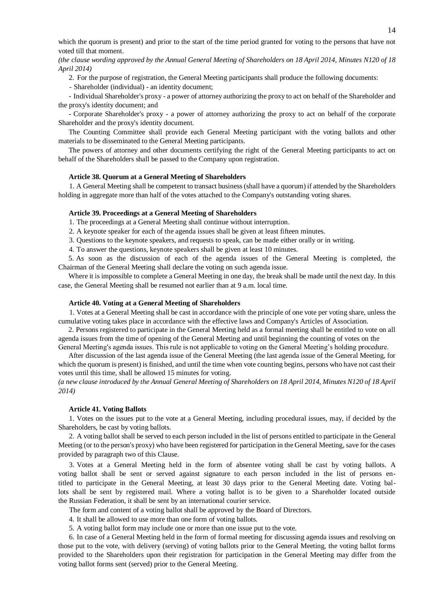which the quorum is present) and prior to the start of the time period granted for voting to the persons that have not voted till that moment.

*(the clause wording approved by the Annual General Meeting of Shareholders on 18 April 2014, Minutes N120 of 18 April 2014)*

2. For the purpose of registration, the General Meeting participants shall produce the following documents:

- Shareholder (individual) - an identity document;

- Individual Shareholder's proxy - a power of attorney authorizing the proxy to act on behalf of the Shareholder and the proxy's identity document; and

- Corporate Shareholder's proxy - a power of attorney authorizing the proxy to act on behalf of the corporate Shareholder and the proxy's identity document.

The Counting Committee shall provide each General Meeting participant with the voting ballots and other materials to be disseminated to the General Meeting participants.

The powers of attorney and other documents certifying the right of the General Meeting participants to act on behalf of the Shareholders shall be passed to the Company upon registration.

# **Article 38. Quorum at a General Meeting of Shareholders**

1. A General Meeting shall be competent to transact business (shall have a quorum) if attended by the Shareholders holding in aggregate more than half of the votes attached to the Company's outstanding voting shares.

#### **Article 39. Proceedings at a General Meeting of Shareholders**

1. The proceedings at a General Meeting shall continue without interruption.

2. A keynote speaker for each of the agenda issues shall be given at least fifteen minutes.

3. Questions to the keynote speakers, and requests to speak, can be made either orally or in writing.

4. To answer the questions, keynote speakers shall be given at least 10 minutes.

5. As soon as the discussion of each of the agenda issues of the General Meeting is completed, the Chairman of the General Meeting shall declare the voting on such agenda issue.

Where it is impossible to complete a General Meeting in one day, the break shall be made until the next day. In this case, the General Meeting shall be resumed not earlier than at 9 a.m. local time.

# **Article 40. Voting at a General Meeting of Shareholders**

1. Votes at a General Meeting shall be cast in accordance with the principle of one vote per voting share, unless the cumulative voting takes place in accordance with the effective laws and Company's Articles of Association.

2. Persons registered to participate in the General Meeting held as a formal meeting shall be entitled to vote on all agenda issues from the time of opening of the General Meeting and until beginning the counting of votes on the

General Meeting's agenda issues. This rule is not applicable to voting on the General Meeting's holding procedure.

After discussion of the last agenda issue of the General Meeting (the last agenda issue of the General Meeting, for which the quorum is present) is finished, and until the time when vote counting begins, persons who have not cast their votes until this time, shall be allowed 15 minutes for voting.

*(a new clause introduced by the Annual General Meeting of Shareholders on 18 April 2014, Minutes N120 of 18 April 2014)*

# **Article 41. Voting Ballots**

1. Votes on the issues put to the vote at a General Meeting, including procedural issues, may, if decided by the Shareholders, be cast by voting ballots.

2. A voting ballot shall be served to each person included in the list of persons entitled to participate in the General Meeting (or to the person's proxy) who have been registered for participation in the General Meeting, save for the cases provided by paragraph two of this Clause.

3. Votes at a General Meeting held in the form of absentee voting shall be cast by voting ballots. A voting ballot shall be sent or served against signature to each person included in the list of persons entitled to participate in the General Meeting, at least 30 days prior to the General Meeting date. Voting ballots shall be sent by registered mail. Where a voting ballot is to be given to a Shareholder located outside the Russian Federation, it shall be sent by an international courier service.

The form and content of a voting ballot shall be approved by the Board of Directors.

4. It shall be allowed to use more than one form of voting ballots.

5. A voting ballot form may include one or more than one issue put to the vote.

6. In case of a General Meeting held in the form of formal meeting for discussing agenda issues and resolving on those put to the vote, with delivery (serving) of voting ballots prior to the General Meeting, the voting ballot forms provided to the Shareholders upon their registration for participation in the General Meeting may differ from the voting ballot forms sent (served) prior to the General Meeting.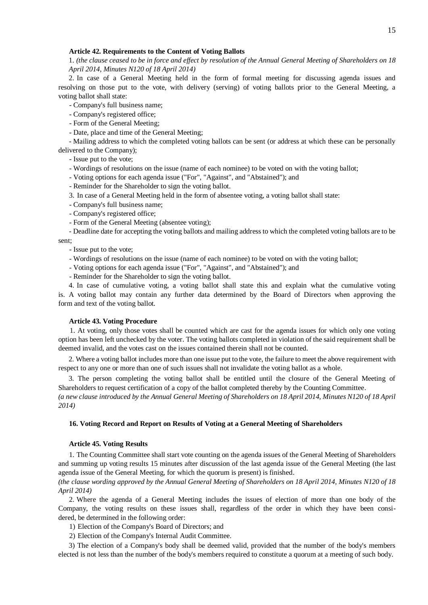## **Article 42. Requirements to the Content of Voting Ballots**

1. *(the clause ceased to be in force and effect by resolution of the Annual General Meeting of Shareholders on 18 April 2014, Minutes N120 of 18 April 2014)*

2. In case of a General Meeting held in the form of formal meeting for discussing agenda issues and resolving on those put to the vote, with delivery (serving) of voting ballots prior to the General Meeting, a voting ballot shall state:

- Company's full business name;

- Company's registered office;
- Form of the General Meeting;
- Date, place and time of the General Meeting;

- Mailing address to which the completed voting ballots can be sent (or address at which these can be personally delivered to the Company);

- Issue put to the vote;

- Wordings of resolutions on the issue (name of each nominee) to be voted on with the voting ballot;

- Voting options for each agenda issue ("For", "Against", and "Abstained"); and

- Reminder for the Shareholder to sign the voting ballot.

3. In case of a General Meeting held in the form of absentee voting, a voting ballot shall state:

- Company's full business name;
- Company's registered office;
- Form of the General Meeting (absentee voting);

- Deadline date for accepting the voting ballots and mailing address to which the completed voting ballots are to be sent;

- Issue put to the vote;

- Wordings of resolutions on the issue (name of each nominee) to be voted on with the voting ballot;
- Voting options for each agenda issue ("For", "Against", and "Abstained"); and

- Reminder for the Shareholder to sign the voting ballot.

4. In case of cumulative voting, a voting ballot shall state this and explain what the cumulative voting is. A voting ballot may contain any further data determined by the Board of Directors when approving the form and text of the voting ballot.

# **Article 43. Voting Procedure**

1. At voting, only those votes shall be counted which are cast for the agenda issues for which only one voting option has been left unchecked by the voter. The voting ballots completed in violation of the said requirement shall be deemed invalid, and the votes cast on the issues contained therein shall not be counted.

2. Where a voting ballot includes more than one issue put to the vote, the failure to meet the above requirement with respect to any one or more than one of such issues shall not invalidate the voting ballot as a whole.

3. The person completing the voting ballot shall be entitled until the closure of the General Meeting of Shareholders to request certification of a copy of the ballot completed thereby by the Counting Committee. *(a new clause introduced by the Annual General Meeting of Shareholders on 18 April 2014, Minutes N120 of 18 April* 

#### **16. Voting Record and Report on Results of Voting at a General Meeting of Shareholders**

# **Article 45. Voting Results**

*2014)*

1. The Counting Committee shall start vote counting on the agenda issues of the General Meeting of Shareholders and summing up voting results 15 minutes after discussion of the last agenda issue of the General Meeting (the last agenda issue of the General Meeting, for which the quorum is present) is finished.

*(the clause wording approved by the Annual General Meeting of Shareholders on 18 April 2014, Minutes N120 of 18 April 2014)*

2. Where the agenda of a General Meeting includes the issues of election of more than one body of the Company, the voting results on these issues shall, regardless of the order in which they have been considered, be determined in the following order:

- 1) Election of the Company's Board of Directors; and
- 2) Election of the Company's Internal Audit Committee.

3) The election of a Company's body shall be deemed valid, provided that the number of the body's members elected is not less than the number of the body's members required to constitute a quorum at a meeting of such body.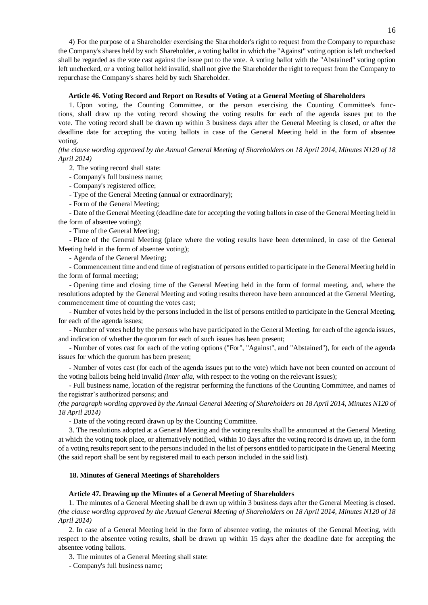4) For the purpose of a Shareholder exercising the Shareholder's right to request from the Company to repurchase the Company's shares held by such Shareholder, a voting ballot in which the "Against" voting option is left unchecked shall be regarded as the vote cast against the issue put to the vote. A voting ballot with the "Abstained" voting option left unchecked, or a voting ballot held invalid, shall not give the Shareholder the right to request from the Company to repurchase the Company's shares held by such Shareholder.

## **Article 46. Voting Record and Report on Results of Voting at a General Meeting of Shareholders**

1. Upon voting, the Counting Committee, or the person exercising the Counting Committee's functions, shall draw up the voting record showing the voting results for each of the agenda issues put to the vote. The voting record shall be drawn up within 3 business days after the General Meeting is closed, or after the deadline date for accepting the voting ballots in case of the General Meeting held in the form of absentee voting.

*(the clause wording approved by the Annual General Meeting of Shareholders on 18 April 2014, Minutes N120 of 18 April 2014)*

2. The voting record shall state:

- Company's full business name;

- Company's registered office;

- Type of the General Meeting (annual or extraordinary);

- Form of the General Meeting;

- Date of the General Meeting (deadline date for accepting the voting ballots in case of the General Meeting held in the form of absentee voting);

- Time of the General Meeting;

- Place of the General Meeting (place where the voting results have been determined, in case of the General Meeting held in the form of absentee voting);

- Agenda of the General Meeting;

- Commencement time and end time of registration of persons entitled to participate in the General Meeting held in the form of formal meeting;

- Opening time and closing time of the General Meeting held in the form of formal meeting, and, where the resolutions adopted by the General Meeting and voting results thereon have been announced at the General Meeting, commencement time of counting the votes cast;

- Number of votes held by the persons included in the list of persons entitled to participate in the General Meeting, for each of the agenda issues;

- Number of votes held by the persons who have participated in the General Meeting, for each of the agenda issues, and indication of whether the quorum for each of such issues has been present;

- Number of votes cast for each of the voting options ("For", "Against", and "Abstained"), for each of the agenda issues for which the quorum has been present;

- Number of votes cast (for each of the agenda issues put to the vote) which have not been counted on account of the voting ballots being held invalid *(inter alia,* with respect to the voting on the relevant issues);

- Full business name, location of the registrar performing the functions of the Counting Committee, and names of the registrar's authorized persons; and

*(the paragraph wording approved by the Annual General Meeting of Shareholders on 18 April 2014, Minutes N120 of 18 April 2014)*

- Date of the voting record drawn up by the Counting Committee.

3. The resolutions adopted at a General Meeting and the voting results shall be announced at the General Meeting at which the voting took place, or alternatively notified, within 10 days after the voting record is drawn up, in the form of a voting results report sent to the persons included in the list of persons entitled to participate in the General Meeting (the said report shall be sent by registered mail to each person included in the said list).

# **18. Minutes of General Meetings of Shareholders**

# **Article 47. Drawing up the Minutes of a General Meeting of Shareholders**

1. The minutes of a General Meeting shall be drawn up within 3 business days after the General Meeting is closed. *(the clause wording approved by the Annual General Meeting of Shareholders on 18 April 2014, Minutes N120 of 18 April 2014)*

2. In case of a General Meeting held in the form of absentee voting, the minutes of the General Meeting, with respect to the absentee voting results, shall be drawn up within 15 days after the deadline date for accepting the absentee voting ballots.

3. The minutes of a General Meeting shall state:

- Company's full business name;